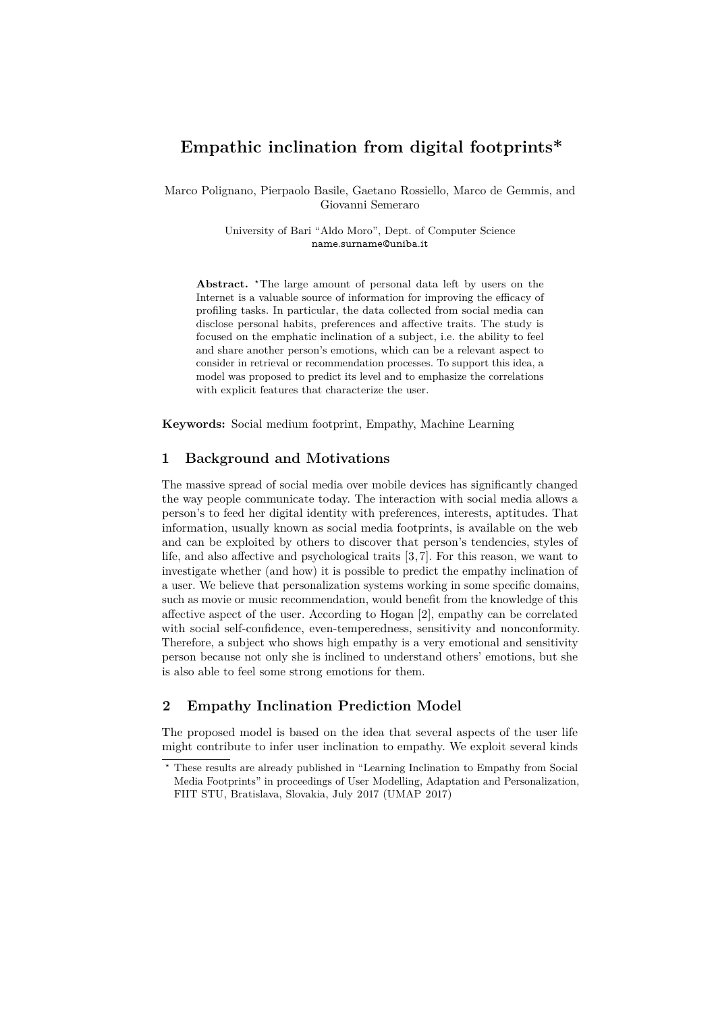# **Empathic inclination from digital footprints\***

Marco Polignano, Pierpaolo Basile, Gaetano Rossiello, Marco de Gemmis, and Giovanni Semeraro

> University of Bari "Aldo Moro", Dept. of Computer Science name.surname@uniba.it

**Abstract.** <sup>\*</sup>The large amount of personal data left by users on the Internet is a valuable source of information for improving the efficacy of profiling tasks. In particular, the data collected from social media can disclose personal habits, preferences and affective traits. The study is focused on the emphatic inclination of a subject, i.e. the ability to feel and share another person's emotions, which can be a relevant aspect to consider in retrieval or recommendation processes. To support this idea, a model was proposed to predict its level and to emphasize the correlations with explicit features that characterize the user.

**Keywords:** Social medium footprint, Empathy, Machine Learning

# **1 Background and Motivations**

The massive spread of social media over mobile devices has significantly changed the way people communicate today. The interaction with social media allows a person's to feed her digital identity with preferences, interests, aptitudes. That information, usually known as social media footprints, is available on the web and can be exploited by others to discover that person's tendencies, styles of life, and also affective and psychological traits [\[3,](#page-3-0) [7\]](#page-3-1). For this reason, we want to investigate whether (and how) it is possible to predict the empathy inclination of a user. We believe that personalization systems working in some specific domains, such as movie or music recommendation, would benefit from the knowledge of this affective aspect of the user. According to Hogan [\[2\]](#page-3-2), empathy can be correlated with social self-confidence, even-temperedness, sensitivity and nonconformity. Therefore, a subject who shows high empathy is a very emotional and sensitivity person because not only she is inclined to understand others' emotions, but she is also able to feel some strong emotions for them.

# <span id="page-0-1"></span>**2 Empathy Inclination Prediction Model**

The proposed model is based on the idea that several aspects of the user life might contribute to infer user inclination to empathy. We exploit several kinds

<span id="page-0-0"></span>*<sup>⋆</sup>* These results are already published in "Learning Inclination to Empathy from Social Media Footprints" in proceedings of User Modelling, Adaptation and Personalization, FIIT STU, Bratislava, Slovakia, July 2017 (UMAP 2017)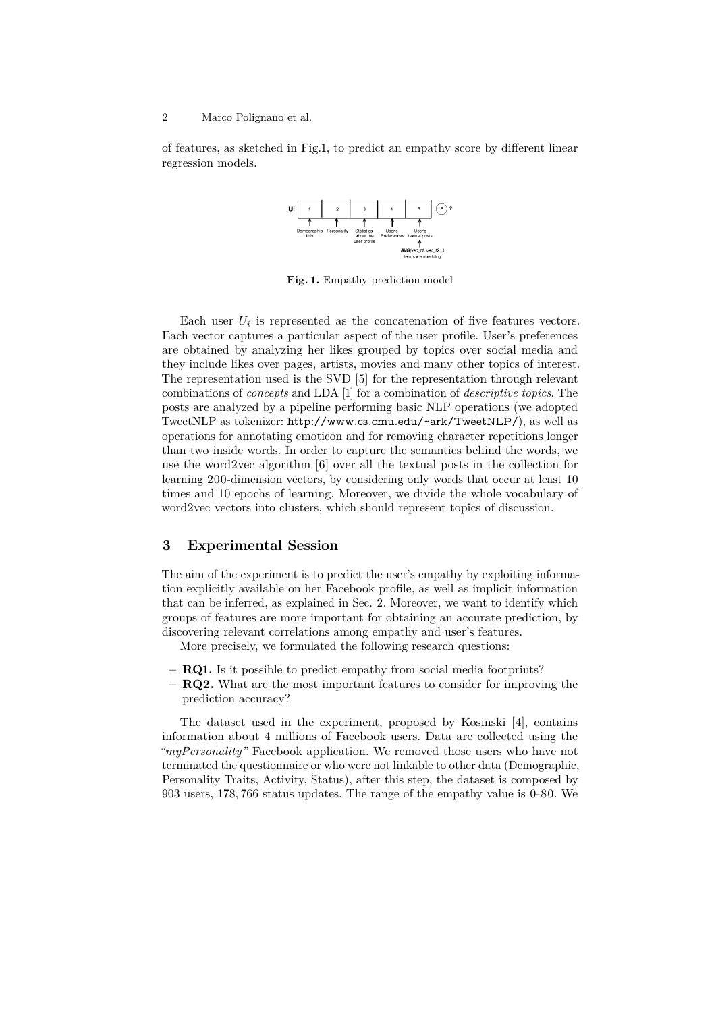#### 2 Marco Polignano et al.

<span id="page-1-0"></span>of features, as sketched in Fig[.1,](#page-1-0) to predict an empathy score by different linear regression models.



**Fig. 1.** Empathy prediction model

Each user  $U_i$  is represented as the concatenation of five features vectors. Each vector captures a particular aspect of the user profile. User's preferences are obtained by analyzing her likes grouped by topics over social media and they include likes over pages, artists, movies and many other topics of interest. The representation used is the SVD [\[5\]](#page-3-3) for the representation through relevant combinations of *concepts* and LDA [\[1\]](#page-3-4) for a combination of *descriptive topics*. The posts are analyzed by a pipeline performing basic NLP operations (we adopted TweetNLP as tokenizer: <http://www.cs.cmu.edu/~ark/TweetNLP/>), as well as operations for annotating emoticon and for removing character repetitions longer than two inside words. In order to capture the semantics behind the words, we use the word2vec algorithm [\[6\]](#page-3-5) over all the textual posts in the collection for learning 200-dimension vectors, by considering only words that occur at least 10 times and 10 epochs of learning. Moreover, we divide the whole vocabulary of word2vec vectors into clusters, which should represent topics of discussion.

#### **3 Experimental Session**

The aim of the experiment is to predict the user's empathy by exploiting information explicitly available on her Facebook profile, as well as implicit information that can be inferred, as explained in Sec. [2.](#page-0-1) Moreover, we want to identify which groups of features are more important for obtaining an accurate prediction, by discovering relevant correlations among empathy and user's features.

More precisely, we formulated the following research questions:

- **– RQ1.** Is it possible to predict empathy from social media footprints?
- **– RQ2.** What are the most important features to consider for improving the prediction accuracy?

The dataset used in the experiment, proposed by Kosinski [\[4\]](#page-3-6), contains information about 4 millions of Facebook users. Data are collected using the *"myPersonality"* Facebook application. We removed those users who have not terminated the questionnaire or who were not linkable to other data (Demographic, Personality Traits, Activity, Status), after this step, the dataset is composed by 903 users, 178*,* 766 status updates. The range of the empathy value is 0-80. We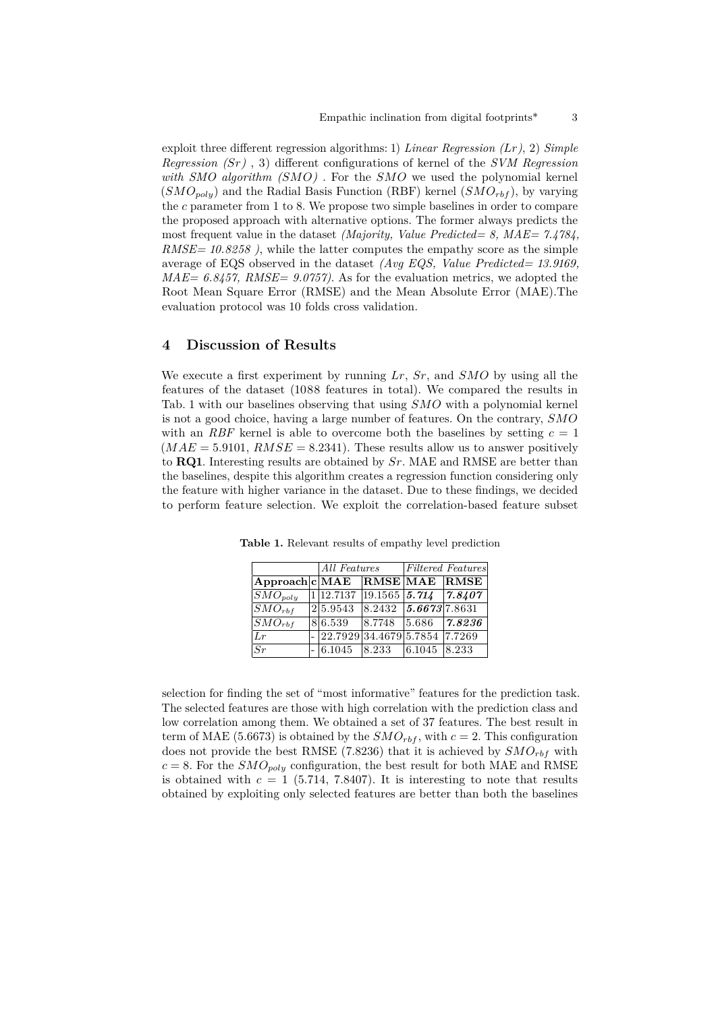exploit three different regression algorithms: 1) *Linear Regression (Lr)*, 2) *Simple Regression ()* , 3) different configurations of kernel of the *SVM Regression* with  $SMO$  algorithm  $(SMO)$ . For the  $SMO$  we used the polynomial kernel  $(SMO_{poly})$  and the Radial Basis Function (RBF) kernel  $(SMO_{rbf})$ , by varying the  $c$  parameter from 1 to 8. We propose two simple baselines in order to compare the proposed approach with alternative options. The former always predicts the most frequent value in the dataset *(Majority, Value Predicted= 8, MAE= 7.4784, RMSE= 10.8258 )*, while the latter computes the empathy score as the simple average of EQS observed in the dataset *(Avg EQS, Value Predicted= 13.9169, MAE= 6.8457, RMSE= 9.0757)*. As for the evaluation metrics, we adopted the Root Mean Square Error (RMSE) and the Mean Absolute Error (MAE).The evaluation protocol was 10 folds cross validation.

## **4 Discussion of Results**

We execute a first experiment by running  $Lr$ ,  $Sr$ , and  $SMO$  by using all the features of the dataset (1088 features in total). We compared the results in Tab. [1](#page-2-0) with our baselines observing that using  $SMO$  with a polynomial kernel is not a good choice, having a large number of features. On the contrary,  $SMO$ with an *RBF* kernel is able to overcome both the baselines by setting  $c = 1$  $(MAE = 5.9101, RMSE = 8.2341)$ . These results allow us to answer positively to **RQ1**. Interesting results are obtained by  $Sr$ . MAE and RMSE are better than the baselines, despite this algorithm creates a regression function considering only the feature with higher variance in the dataset. Due to these findings, we decided to perform feature selection. We exploit the correlation-based feature subset

|                              |  | All Features                  |                                                                                               | <i>Filtered Features</i> |                                     |
|------------------------------|--|-------------------------------|-----------------------------------------------------------------------------------------------|--------------------------|-------------------------------------|
| Approach c MAE RMSE MAE RMSE |  |                               |                                                                                               |                          |                                     |
| $ SMO_{poly}$                |  |                               |                                                                                               |                          | $1 12.7137 19.1565 $ 5.714   7.8407 |
| $\overline{SMO}_{rbf}$       |  | 25.9543                       | $ 8.2432 $ $ 5.6673 7.8631 $                                                                  |                          |                                     |
| $\boxed{SMO_{rbf}}$          |  | 86.539                        | $\begin{array}{ c c c c c c c c } \hline 8.7748 & 5.686 & \textbf{7.8236} \hline \end{array}$ |                          |                                     |
| Lr                           |  | 22.7929 34.4679 5.7854 7.7269 |                                                                                               |                          |                                     |
| Sr                           |  | 6.1045                        | 8.233                                                                                         | 6.1045                   | 8.233                               |

<span id="page-2-0"></span>**Table 1.** Relevant results of empathy level prediction

selection for finding the set of "most informative" features for the prediction task. The selected features are those with high correlation with the prediction class and low correlation among them. We obtained a set of 37 features. The best result in term of MAE (5.6673) is obtained by the  $SMO_{rbf}$ , with  $c = 2$ . This configuration does not provide the best RMSE (7.8236) that it is achieved by  $SMO_{rbf}$  with  $c = 8$ . For the  $SMO_{poly}$  configuration, the best result for both MAE and RMSE is obtained with  $c = 1$  (5.714, 7.8407). It is interesting to note that results obtained by exploiting only selected features are better than both the baselines